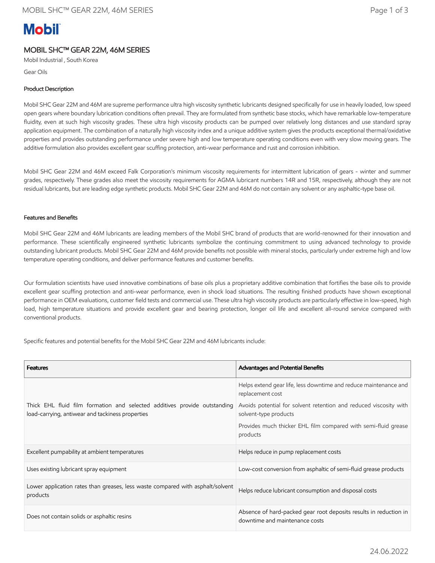# **Mobil**

## MOBIL SHC™ GEAR 22M, 46M SERIES

Mobil Industrial , South Korea

Gear Oils

## Product Description

Mobil SHC Gear 22M and 46M are supreme performance ultra high viscosity synthetic lubricants designed specifically for use in heavily loaded, low speed open gears where boundary lubrication conditions often prevail. They are formulated from synthetic base stocks, which have remarkable low-temperature fluidity, even at such high viscosity grades. These ultra high viscosity products can be pumped over relatively long distances and use standard spray application equipment. The combination of a naturally high viscosity index and a unique additive system gives the products exceptional thermal/oxidative properties and provides outstanding performance under severe high and low temperature operating conditions even with very slow moving gears. The additive formulation also provides excellent gear scuffing protection, anti-wear performance and rust and corrosion inhibition.

Mobil SHC Gear 22M and 46M exceed Falk Corporation's minimum viscosity requirements for intermittent lubrication of gears - winter and summer grades, respectively. These grades also meet the viscosity requirements for AGMA lubricant numbers 14R and 15R, respectively, although they are not residual lubricants, but are leading edge synthetic products. Mobil SHC Gear 22M and 46M do not contain any solvent or any asphaltic-type base oil.

## Features and Benefits

Mobil SHC Gear 22M and 46M lubricants are leading members of the Mobil SHC brand of products that are world-renowned for their innovation and performance. These scientifically engineered synthetic lubricants symbolize the continuing commitment to using advanced technology to provide outstanding lubricant products. Mobil SHC Gear 22M and 46M provide benefits not possible with mineral stocks, particularly under extreme high and low temperature operating conditions, and deliver performance features and customer benefits.

Our formulation scientists have used innovative combinations of base oils plus a proprietary additive combination that fortifies the base oils to provide excellent gear scuffing protection and anti-wear performance, even in shock load situations. The resulting finished products have shown exceptional performance in OEM evaluations, customer field tests and commercial use. These ultra high viscosity products are particularly effective in low-speed, high load, high temperature situations and provide excellent gear and bearing protection, longer oil life and excellent all-round service compared with conventional products.

Specific features and potential benefits for the Mobil SHC Gear 22M and 46M lubricants include:

| <b>Features</b>                                                                                                               | <b>Advantages and Potential Benefits</b>                                                            |  |
|-------------------------------------------------------------------------------------------------------------------------------|-----------------------------------------------------------------------------------------------------|--|
|                                                                                                                               | Helps extend gear life, less downtime and reduce maintenance and<br>replacement cost                |  |
| Thick EHL fluid film formation and selected additives provide outstanding<br>load-carrying, antiwear and tackiness properties | Avoids potential for solvent retention and reduced viscosity with<br>solvent-type products          |  |
|                                                                                                                               | Provides much thicker EHL film compared with semi-fluid grease<br>products                          |  |
| Excellent pumpability at ambient temperatures                                                                                 | Helps reduce in pump replacement costs                                                              |  |
| Uses existing lubricant spray equipment                                                                                       | Low-cost conversion from asphaltic of semi-fluid grease products                                    |  |
| Lower application rates than greases, less waste compared with asphalt/solvent<br>products                                    | Helps reduce lubricant consumption and disposal costs                                               |  |
| Does not contain solids or asphaltic resins                                                                                   | Absence of hard-packed gear root deposits results in reduction in<br>downtime and maintenance costs |  |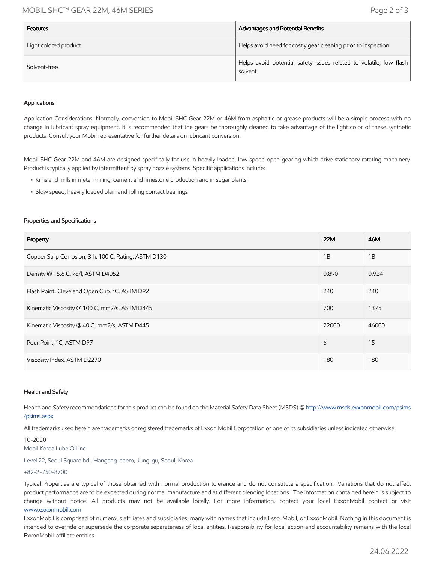## MOBIL SHC™ GEAR 22M, 46M SERIES Page 2 of 3

| <b>Features</b>       | Advantages and Potential Benefits                                             |
|-----------------------|-------------------------------------------------------------------------------|
| Light colored product | Helps avoid need for costly gear cleaning prior to inspection                 |
| Solvent-free          | Helps avoid potential safety issues related to volatile, low flash<br>solvent |

### Applications

Application Considerations: Normally, conversion to Mobil SHC Gear 22M or 46M from asphaltic or grease products will be a simple process with no change in lubricant spray equipment. It is recommended that the gears be thoroughly cleaned to take advantage of the light color of these synthetic products. Consult your Mobil representative for further details on lubricant conversion.

Mobil SHC Gear 22M and 46M are designed specifically for use in heavily loaded, low speed open gearing which drive stationary rotating machinery. Product is typically applied by intermittent by spray nozzle systems. Specific applications include:

- Kilns and mills in metal mining, cement and limestone production and in sugar plants
- Slow speed, heavily loaded plain and rolling contact bearings

#### Properties and Specifications

| Property                                              | <b>22M</b> | 46M   |
|-------------------------------------------------------|------------|-------|
| Copper Strip Corrosion, 3 h, 100 C, Rating, ASTM D130 | 1B         | 1B    |
| Density @ 15.6 C, kg/l, ASTM D4052                    | 0.890      | 0.924 |
| Flash Point, Cleveland Open Cup, °C, ASTM D92         | 240        | 240   |
| Kinematic Viscosity @ 100 C, mm2/s, ASTM D445         | 700        | 1375  |
| Kinematic Viscosity @ 40 C, mm2/s, ASTM D445          | 22000      | 46000 |
| Pour Point, °C, ASTM D97                              | 6          | 15    |
| Viscosity Index, ASTM D2270                           | 180        | 180   |

#### Health and Safety

Health and Safety recommendations for this product can be found on the Material Safety Data Sheet (MSDS) @ [http://www.msds.exxonmobil.com/psims](http://www.msds.exxonmobil.com/psims/psims.aspx) /psims.aspx

All trademarks used herein are trademarks or registered trademarks of Exxon Mobil Corporation or one of its subsidiaries unless indicated otherwise.

10-2020

Mobil Korea Lube Oil Inc.

Level 22, Seoul Square bd., Hangang-daero, Jung-gu, Seoul, Korea

#### +82-2-750-8700

Typical Properties are typical of those obtained with normal production tolerance and do not constitute a specification. Variations that do not affect product performance are to be expected during normal manufacture and at different blending locations. The information contained herein is subject to change without notice. All products may not be available locally. For more information, contact your local ExxonMobil contact or visit [www.exxonmobil.com](http://www.exxonmobil.com/)

ExxonMobil is comprised of numerous affiliates and subsidiaries, many with names that include Esso, Mobil, or ExxonMobil. Nothing in this document is intended to override or supersede the corporate separateness of local entities. Responsibility for local action and accountability remains with the local ExxonMobil-affiliate entities.